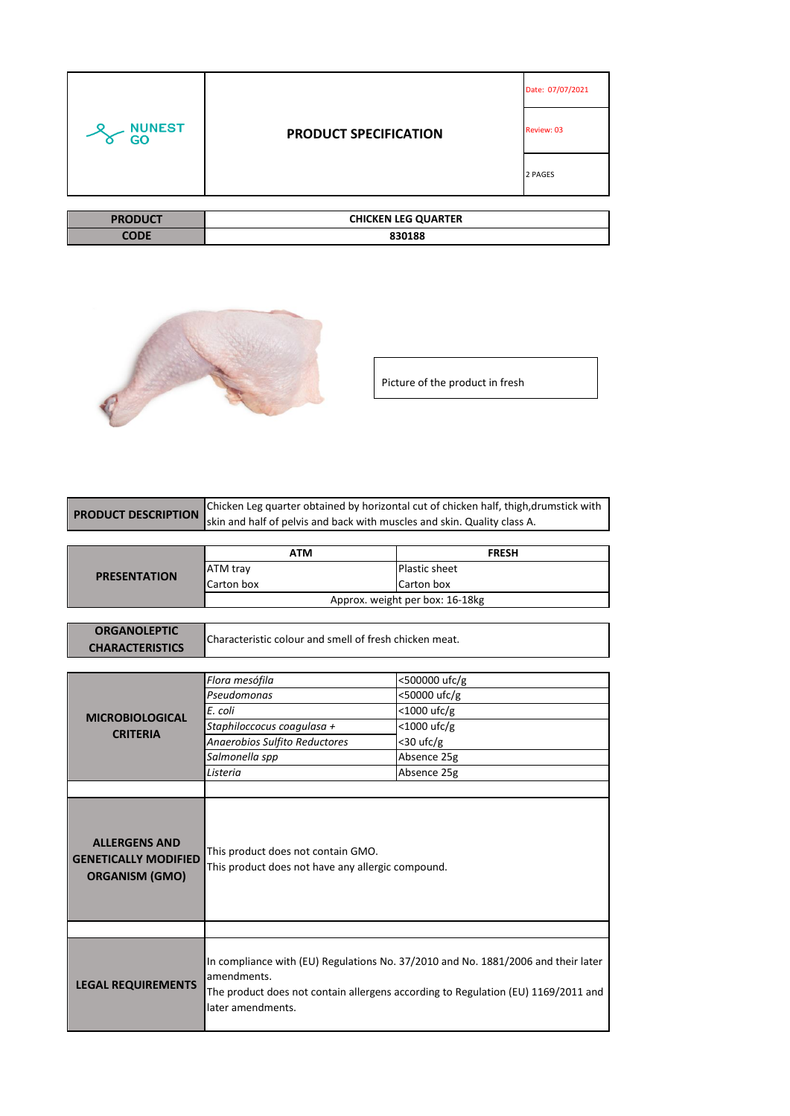| <b>NUNEST</b><br>GO | <b>PRODUCT SPECIFICATION</b> | Date: 07/07/2021 |
|---------------------|------------------------------|------------------|
|                     |                              | Review: 03       |
|                     |                              | 2 PAGES          |
|                     |                              |                  |

| <b>PRODUCT</b> | <b>CHICKEN LEG QUARTER</b> |
|----------------|----------------------------|
| CODI           | 830188                     |



Picture of the product in fresh

| <b>PRODUCT DESCRIPTION</b>                                                   | Chicken Leg quarter obtained by horizontal cut of chicken half, thigh, drumstick with                                                                                                                      |                                 |
|------------------------------------------------------------------------------|------------------------------------------------------------------------------------------------------------------------------------------------------------------------------------------------------------|---------------------------------|
|                                                                              | skin and half of pelvis and back with muscles and skin. Quality class A.                                                                                                                                   |                                 |
|                                                                              |                                                                                                                                                                                                            |                                 |
|                                                                              | <b>ATM</b>                                                                                                                                                                                                 | <b>FRESH</b>                    |
|                                                                              | ATM tray                                                                                                                                                                                                   | Plastic sheet                   |
| <b>PRESENTATION</b>                                                          | Carton box                                                                                                                                                                                                 | Carton box                      |
|                                                                              |                                                                                                                                                                                                            | Approx. weight per box: 16-18kg |
|                                                                              |                                                                                                                                                                                                            |                                 |
| <b>ORGANOLEPTIC</b>                                                          |                                                                                                                                                                                                            |                                 |
| <b>CHARACTERISTICS</b>                                                       | Characteristic colour and smell of fresh chicken meat.                                                                                                                                                     |                                 |
|                                                                              |                                                                                                                                                                                                            |                                 |
|                                                                              | Flora mesófila                                                                                                                                                                                             | <500000 ufc/g                   |
|                                                                              | Pseudomonas                                                                                                                                                                                                | <50000 ufc/g                    |
|                                                                              | E. coli                                                                                                                                                                                                    | $<$ 1000 ufc/g                  |
| <b>MICROBIOLOGICAL</b>                                                       | Staphiloccocus coagulasa +                                                                                                                                                                                 | <1000 ufc/g                     |
| <b>CRITERIA</b>                                                              | Anaerobios Sulfito Reductores                                                                                                                                                                              | $<$ 30 ufc/g                    |
|                                                                              | Salmonella spp                                                                                                                                                                                             | Absence 25g                     |
|                                                                              | Listeria                                                                                                                                                                                                   | Absence 25g                     |
|                                                                              |                                                                                                                                                                                                            |                                 |
| <b>ALLERGENS AND</b><br><b>GENETICALLY MODIFIED</b><br><b>ORGANISM (GMO)</b> | This product does not contain GMO.<br>This product does not have any allergic compound.                                                                                                                    |                                 |
|                                                                              |                                                                                                                                                                                                            |                                 |
| <b>LEGAL REQUIREMENTS</b>                                                    | In compliance with (EU) Regulations No. 37/2010 and No. 1881/2006 and their later<br>amendments.<br>The product does not contain allergens according to Regulation (EU) 1169/2011 and<br>later amendments. |                                 |